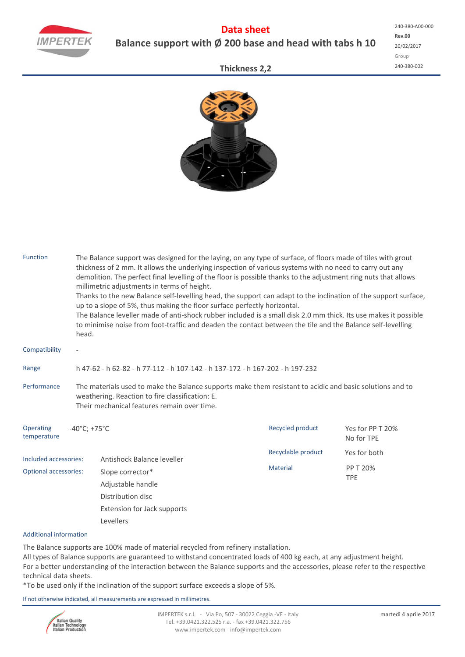

## **Data sheet Balance support with Ø 200 base and head with tabs h 10**

## **Thickness 2,2**



| <b>Function</b>              | The Balance support was designed for the laying, on any type of surface, of floors made of tiles with grout<br>thickness of 2 mm. It allows the underlying inspection of various systems with no need to carry out any<br>demolition. The perfect final levelling of the floor is possible thanks to the adjustment ring nuts that allows<br>millimetric adjustments in terms of height.<br>Thanks to the new Balance self-levelling head, the support can adapt to the inclination of the support surface,<br>up to a slope of 5%, thus making the floor surface perfectly horizontal.<br>The Balance leveller made of anti-shock rubber included is a small disk 2.0 mm thick. Its use makes it possible<br>to minimise noise from foot-traffic and deaden the contact between the tile and the Balance self-levelling<br>head. |                                                                                                        |                    |                                |  |  |  |  |  |
|------------------------------|-----------------------------------------------------------------------------------------------------------------------------------------------------------------------------------------------------------------------------------------------------------------------------------------------------------------------------------------------------------------------------------------------------------------------------------------------------------------------------------------------------------------------------------------------------------------------------------------------------------------------------------------------------------------------------------------------------------------------------------------------------------------------------------------------------------------------------------|--------------------------------------------------------------------------------------------------------|--------------------|--------------------------------|--|--|--|--|--|
| Compatibility                |                                                                                                                                                                                                                                                                                                                                                                                                                                                                                                                                                                                                                                                                                                                                                                                                                                   |                                                                                                        |                    |                                |  |  |  |  |  |
| Range                        | h 47-62 - h 62-82 - h 77-112 - h 107-142 - h 137-172 - h 167-202 - h 197-232                                                                                                                                                                                                                                                                                                                                                                                                                                                                                                                                                                                                                                                                                                                                                      |                                                                                                        |                    |                                |  |  |  |  |  |
| Performance                  | The materials used to make the Balance supports make them resistant to acidic and basic solutions and to<br>weathering. Reaction to fire classification: E.<br>Their mechanical features remain over time.                                                                                                                                                                                                                                                                                                                                                                                                                                                                                                                                                                                                                        |                                                                                                        |                    |                                |  |  |  |  |  |
| Operating<br>temperature     | $-40^{\circ}$ C; +75 $^{\circ}$ C                                                                                                                                                                                                                                                                                                                                                                                                                                                                                                                                                                                                                                                                                                                                                                                                 |                                                                                                        | Recycled product   | Yes for PP T 20%<br>No for TPE |  |  |  |  |  |
| Included accessories:        |                                                                                                                                                                                                                                                                                                                                                                                                                                                                                                                                                                                                                                                                                                                                                                                                                                   | Antishock Balance leveller                                                                             | Recyclable product | Yes for both                   |  |  |  |  |  |
| <b>Optional accessories:</b> |                                                                                                                                                                                                                                                                                                                                                                                                                                                                                                                                                                                                                                                                                                                                                                                                                                   | Slope corrector*<br>Adjustable handle<br>Distribution disc<br>Extension for Jack supports<br>Levellers | <b>Material</b>    | PP T 20%<br><b>TPE</b>         |  |  |  |  |  |

## Additional information

The Balance supports are 100% made of material recycled from refinery installation.

All types of Balance supports are guaranteed to withstand concentrated loads of 400 kg each, at any adjustment height. For a better understanding of the interaction between the Balance supports and the accessories, please refer to the respective technical data sheets.

\*To be used only if the inclination of the support surface exceeds a slope of 5%.

If not otherwise indicated, all measurements are expressed in millimetres.